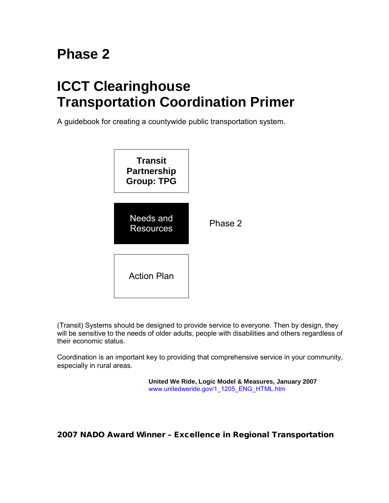# **Phase 2**

# **ICCT Clearinghouse Transportation Coordination Primer**

A guidebook for creating a countywide public transportation system.



(Transit) Systems should be designed to provide service to everyone. Then by design, they will be sensitive to the needs of older adults, people with disabilities and others regardless of their economic status.

Coordination is an important key to providing that comprehensive service in your community, especially in rural areas.

> **United We Ride, Logic Model & Measures, January 2007** [www.unitedweride.gov/1\\_1205\\_ENG\\_HTML.htm](http://www.unitedweride.gov/1_1205_ENG_HTML.htm)

2007 NADO Award Winner – Excellence in Regional Transportation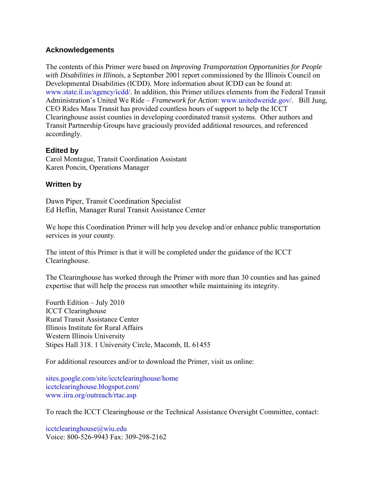#### **Acknowledgements**

The contents of this Primer were based on *Improving Transportation Opportunities for People with Disabilities in Illinois*, a September 2001 report commissioned by the Illinois Council on Developmental Disabilities (ICDD). More information about ICDD can be found at: [www.state.il.us/agency/icdd/.](http://www.state.il.us/agency/icdd/) In addition, this Primer utilizes elements from the Federal Transit Administration's United We Ride – *Framework for Action*: [www.unitedweride.gov/.](http://www.unitedweride.gov/) Bill Jung, CEO Rides Mass Transit has provided countless hours of support to help the ICCT Clearinghouse assist counties in developing coordinated transit systems. Other authors and Transit Partnership Groups have graciously provided additional resources, and referenced accordingly.

#### **Edited by**

Carol Montague, Transit Coordination Assistant Karen Poncin, Operations Manager

#### **Written by**

Dawn Piper, Transit Coordination Specialist Ed Heflin, Manager Rural Transit Assistance Center

We hope this Coordination Primer will help you develop and/or enhance public transportation services in your county.

The intent of this Primer is that it will be completed under the guidance of the ICCT Clearinghouse.

The Clearinghouse has worked through the Primer with more than 30 counties and has gained expertise that will help the process run smoother while maintaining its integrity.

Fourth Edition – July 2010 ICCT Clearinghouse Rural Transit Assistance Center Illinois Institute for Rural Affairs Western Illinois University Stipes Hall 318. 1 University Circle, Macomb, IL 61455

For additional resources and/or to download the Primer, visit us online:

[sites.google.com/site/icctclearinghouse/home](http://sites.google.com/site/icctclearinghouse/home)  [icctclearinghouse.blogspot.com/](http://icctclearinghouse.blogspot.com/)  [www.iira.org/outreach/rtac.asp](http://www.iira.org/outreach/rtac.asp) 

To reach the ICCT Clearinghouse or the Technical Assistance Oversight Committee, contact:

icctclearinghouse@wiu.edu Voice: 800-526-9943 Fax: 309-298-2162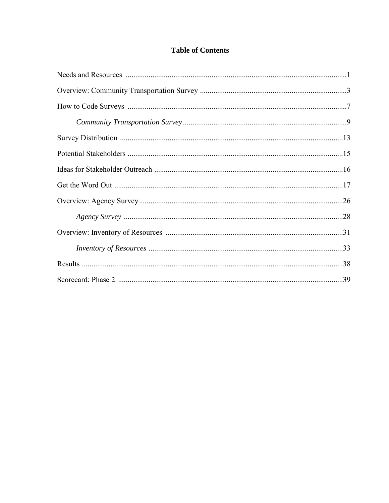# **Table of Contents**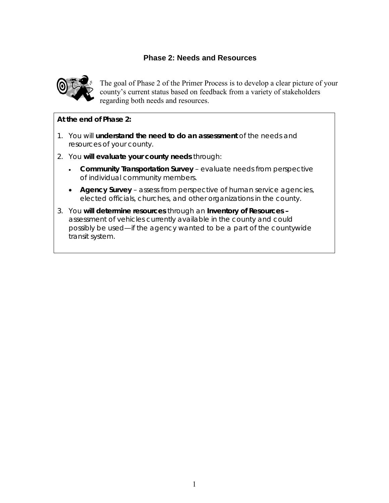# **Phase 2: Needs and Resources**

<span id="page-4-0"></span>

The goal of Phase 2 of the Primer Process is to develop a clear picture of your county's current status based on feedback from a variety of stakeholders regarding both needs and resources.

#### **At the end of Phase 2:**

- 1. You will **understand the need to do an assessment** of the needs and resources of your county.
- 2. You **will evaluate your county needs** through:
	- **Community Transportation Survey** evaluate needs from perspective of individual community members.
	- **Agency Survey** assess from perspective of human service agencies, elected officials, churches, and other organizations in the county.
- 3. You **will determine resources** through an **Inventory of Resources –** assessment of vehicles currently available in the county and could possibly be used—if the agency wanted to be a part of the countywide transit system.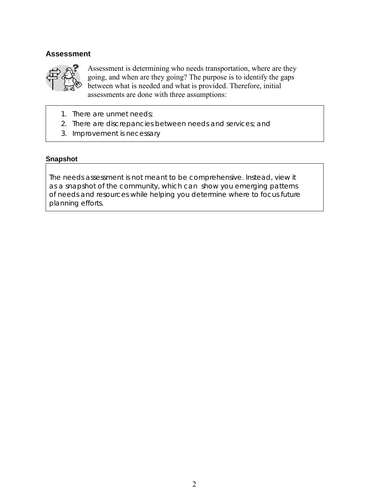#### **Assessment**



Assessment is determining who needs transportation, where are they going, and when are they going? The purpose is to identify the gaps between what is needed and what is provided. Therefore, initial assessments are done with three assumptions:

- 1. There are unmet needs;
- 2. There are discrepancies between needs and services; and
- 3. Improvement is necessary

#### **Snapshot**

The needs assessment is not meant to be comprehensive. Instead, view it as a snapshot of the community, which can show you emerging patterns of needs and resources while helping you determine where to focus future planning efforts.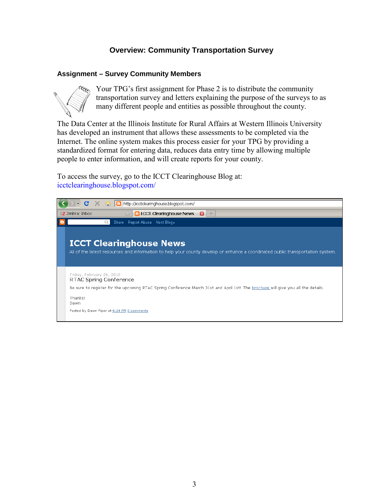## **Overview: Community Transportation Survey**

#### <span id="page-6-0"></span>**Assignment – Survey Community Members**



Your TPG's first assignment for Phase 2 is to distribute the community transportation survey and letters explaining the purpose of the surveys to as many different people and entities as possible throughout the county.

The Data Center at the Illinois Institute for Rural Affairs at Western Illinois University has developed an instrument that allows these assessments to be completed via the Internet. The online system makes this process easier for your TPG by providing a standardized format for entering data, reduces data entry time by allowing multiple people to enter information, and will create reports for your county.

To access the survey, go to the ICCT Clearinghouse Blog at: [icctclearinghouse.blogspot.com/](http://icctclearinghouse.blogspot.com/) 

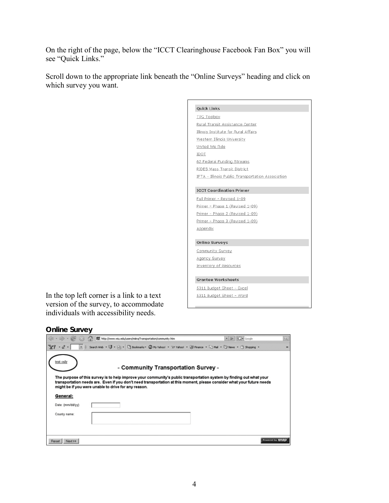On the right of the page, below the "ICCT Clearinghouse Facebook Fan Box" you will see "Quick Links."

Scroll down to the appropriate link beneath the "Online Surveys" heading and click on which survey you want.

In the top left corner is a link to a text version of the survey, to accommodate individuals with accessibility needs.



#### **Online Survey**

|                  | http://www.wiu.edu/users/miira/Transportation/community.htm                                                                                                                                                                                                                                            | $\bullet$ $\triangleright$ $\Box$ Google | q,              |
|------------------|--------------------------------------------------------------------------------------------------------------------------------------------------------------------------------------------------------------------------------------------------------------------------------------------------------|------------------------------------------|-----------------|
|                  | Search Web + UI + His + UI Bookmarks + ED My Vahoo! + 3/7 Vahoo! + ED France + CI Mal + CI Mews + CI Shopping +                                                                                                                                                                                        |                                          | $33+$           |
| ext only         | - Community Transportation Survey -                                                                                                                                                                                                                                                                    |                                          |                 |
|                  | The purpose of this survey is to help improve your community's public transportation system by finding out what your<br>transportation needs are. Even if you don't need transportation at this moment, please consider what your future needs<br>might be if you were unable to drive for any reason. |                                          |                 |
| General:         |                                                                                                                                                                                                                                                                                                        |                                          |                 |
| Date: (mm/dd/yy) |                                                                                                                                                                                                                                                                                                        |                                          |                 |
| County name:     |                                                                                                                                                                                                                                                                                                        |                                          |                 |
| Reset<br>Next >> |                                                                                                                                                                                                                                                                                                        |                                          | Powered by SN8D |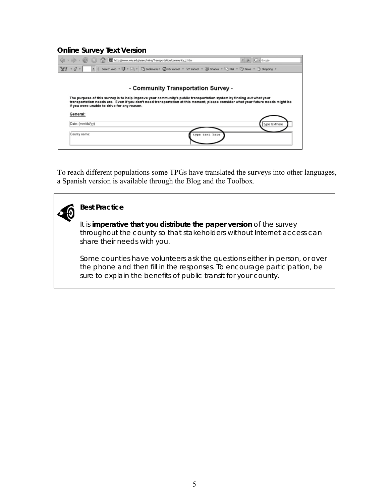#### **Online Survey Text Version**

|                  | http://www.wiu.edu/users/miira/Transportation/community_t.htm                                                                                                                                                                                                                                          | $\bullet$ $\triangleright$ $\boxed{G}$ $\bullet$ Google |
|------------------|--------------------------------------------------------------------------------------------------------------------------------------------------------------------------------------------------------------------------------------------------------------------------------------------------------|---------------------------------------------------------|
|                  |                                                                                                                                                                                                                                                                                                        |                                                         |
|                  |                                                                                                                                                                                                                                                                                                        |                                                         |
|                  | - Community Transportation Survey -                                                                                                                                                                                                                                                                    |                                                         |
|                  | The purpose of this survey is to help improve your community's public transportation system by finding out what your<br>transportation needs are. Even if you don't need transportation at this moment, please consider what your future needs might be<br>if you were unable to drive for any reason. |                                                         |
| General:         |                                                                                                                                                                                                                                                                                                        |                                                         |
| Date: (mm/dd/yy) |                                                                                                                                                                                                                                                                                                        | type text here                                          |
| County name:     | type text here                                                                                                                                                                                                                                                                                         |                                                         |

To reach different populations some TPGs have translated the surveys into other languages, a Spanish version is available through the Blog and the Toolbox.

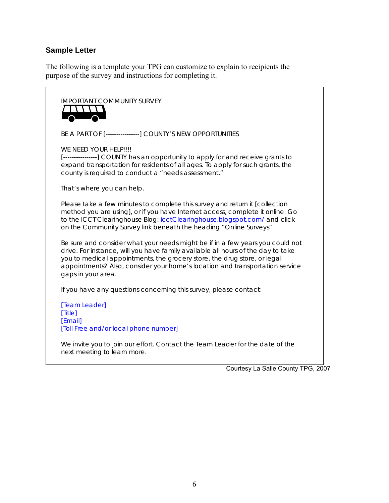### **Sample Letter**

The following is a template your TPG can customize to explain to recipients the purpose of the survey and instructions for completing it.

IMPORTANT COMMUNITY SURVEY T \ \ \ \ \  $\overline{\phantom{1}}$ BE A PART OF [----------------] COUNTY'S NEW OPPORTUNITIES WE NEED YOUR HELP!!!! [---------------] COUNTY has an opportunity to apply for and receive grants to expand transportation for residents of all ages. To apply for such grants, the county is required to conduct a "needs assessment." That's where you can help. Please take a few minutes to complete this survey and return it [collection method you are using], or if you have Internet access, complete it online. Go to the ICCT Clearinghouse Blog: [icctClearinghouse.blogspot.com/](http://icctclearinghouse.blogspot.com/) and click on the Community Survey link beneath the heading "Online Surveys". Be sure and consider what your needs might be if in a few years you could not drive. For instance, will you have family available all hours of the day to take you to medical appointments, the grocery store, the drug store, or legal appointments? Also, consider your home's location and transportation service gaps in your area. If you have any questions concerning this survey, please contact: [Team Leader] [Title] [Email] [Toll Free and/or local phone number] We invite you to join our effort. Contact the Team Leader for the date of the next meeting to learn more.

Courtesy La Salle County TPG, 2007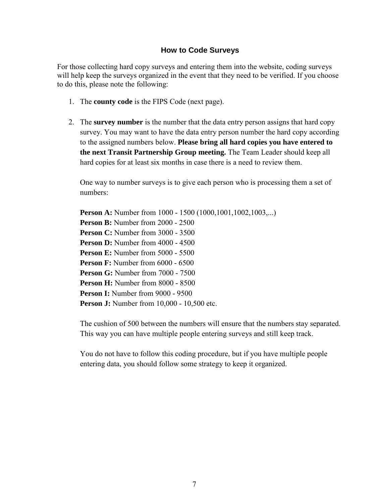#### **How to Code Surveys**

<span id="page-10-0"></span>For those collecting hard copy surveys and entering them into the website, coding surveys will help keep the surveys organized in the event that they need to be verified. If you choose to do this, please note the following:

- 1. The **county code** is the FIPS Code (next page).
- 2. The **survey number** is the number that the data entry person assigns that hard copy survey. You may want to have the data entry person number the hard copy according to the assigned numbers below. **Please bring all hard copies you have entered to the next Transit Partnership Group meeting.** The Team Leader should keep all hard copies for at least six months in case there is a need to review them.

One way to number surveys is to give each person who is processing them a set of numbers:

**Person A:** Number from 1000 - 1500 (1000,1001,1002,1003,...) **Person B:** Number from 2000 - 2500 **Person C:** Number from 3000 - 3500 **Person D:** Number from 4000 - 4500 **Person E:** Number from 5000 - 5500 **Person F:** Number from 6000 - 6500 **Person G:** Number from 7000 - 7500 **Person H:** Number from 8000 - 8500 **Person I:** Number from 9000 - 9500 **Person J:** Number from 10,000 - 10,500 etc.

The cushion of 500 between the numbers will ensure that the numbers stay separated. This way you can have multiple people entering surveys and still keep track.

You do not have to follow this coding procedure, but if you have multiple people entering data, you should follow some strategy to keep it organized.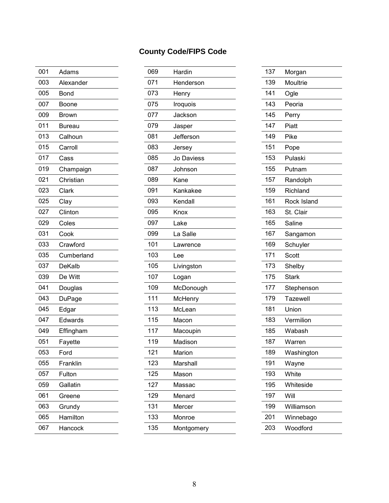| 001 | Adams         | 069 | Hardin     | 137 | Morgan       |
|-----|---------------|-----|------------|-----|--------------|
| 003 | Alexander     | 071 | Henderson  | 139 | Moultrie     |
| 005 | <b>Bond</b>   | 073 | Henry      | 141 | Ogle         |
| 007 | Boone         | 075 | Iroquois   | 143 | Peoria       |
| 009 | <b>Brown</b>  | 077 | Jackson    | 145 | Perry        |
| 011 | <b>Bureau</b> | 079 | Jasper     | 147 | Piatt        |
| 013 | Calhoun       | 081 | Jefferson  | 149 | Pike         |
| 015 | Carroll       | 083 | Jersey     | 151 | Pope         |
| 017 | Cass          | 085 | Jo Daviess | 153 | Pulaski      |
| 019 | Champaign     | 087 | Johnson    | 155 | Putnam       |
| 021 | Christian     | 089 | Kane       | 157 | Randolph     |
| 023 | Clark         | 091 | Kankakee   | 159 | Richland     |
| 025 | Clay          | 093 | Kendall    | 161 | Rock Island  |
| 027 | Clinton       | 095 | Knox       | 163 | St. Clair    |
| 029 | Coles         | 097 | Lake       | 165 | Saline       |
| 031 | Cook          | 099 | La Salle   | 167 | Sangamon     |
| 033 | Crawford      | 101 | Lawrence   | 169 | Schuyler     |
| 035 | Cumberland    | 103 | Lee        | 171 | Scott        |
| 037 | DeKalb        | 105 | Livingston | 173 | Shelby       |
| 039 | De Witt       | 107 | Logan      | 175 | <b>Stark</b> |
| 041 | Douglas       | 109 | McDonough  | 177 | Stephenson   |
| 043 | DuPage        | 111 | McHenry    | 179 | Tazewell     |
| 045 | Edgar         | 113 | McLean     | 181 | Union        |
| 047 | Edwards       | 115 | Macon      | 183 | Vermilion    |
| 049 | Effingham     | 117 | Macoupin   | 185 | Wabash       |
| 051 | Fayette       | 119 | Madison    | 187 | Warren       |
| 053 | Ford          | 121 | Marion     | 189 | Washington   |
| 055 | Franklin      | 123 | Marshall   | 191 | Wayne        |
| 057 | Fulton        | 125 | Mason      | 193 | White        |
| 059 | Gallatin      | 127 | Massac     | 195 | Whiteside    |
| 061 | Greene        | 129 | Menard     | 197 | Will         |
| 063 | Grundy        | 131 | Mercer     | 199 | Williamson   |
| 065 | Hamilton      | 133 | Monroe     | 201 | Winnebago    |
| 067 | Hancock       | 135 | Montgomery | 203 | Woodford     |
|     |               |     |            |     |              |

|     |               |     | <b>County Code/FIPS Code</b> |     |              |
|-----|---------------|-----|------------------------------|-----|--------------|
| 001 | Adams         | 069 | Hardin                       | 137 | Morgan       |
| 003 | Alexander     | 071 | Henderson                    | 139 | Moultrie     |
| 005 | <b>Bond</b>   | 073 | Henry                        | 141 | Ogle         |
| 007 | Boone         | 075 | Iroquois                     | 143 | Peoria       |
| 009 | <b>Brown</b>  | 077 | Jackson                      | 145 | Perry        |
| 011 | <b>Bureau</b> | 079 | Jasper                       | 147 | Piatt        |
| 013 | Calhoun       | 081 | Jefferson                    | 149 | Pike         |
| 015 | Carroll       | 083 | Jersey                       | 151 | Pope         |
| 017 | Cass          | 085 | Jo Daviess                   | 153 | Pulaski      |
| 019 | Champaign     | 087 | Johnson                      | 155 | Putnam       |
| 021 | Christian     | 089 | Kane                         | 157 | Randolph     |
| 023 | Clark         | 091 | Kankakee                     | 159 | Richland     |
| 025 | Clay          | 093 | Kendall                      | 161 | Rock Island  |
| 027 | Clinton       | 095 | Knox                         | 163 | St. Clair    |
| 029 | Coles         | 097 | Lake                         | 165 | Saline       |
| 031 | Cook          | 099 | La Salle                     | 167 | Sangamon     |
| 033 | Crawford      | 101 | Lawrence                     | 169 | Schuyler     |
| 035 | Cumberland    | 103 | Lee                          | 171 | Scott        |
| 037 | <b>DeKalb</b> | 105 | Livingston                   | 173 | Shelby       |
| 039 | De Witt       | 107 | Logan                        | 175 | <b>Stark</b> |
| 041 | Douglas       | 109 | McDonough                    | 177 | Stephenson   |
| 043 | DuPage        | 111 | McHenry                      | 179 | Tazewell     |
| 045 | Edgar         | 113 | McLean                       | 181 | Union        |
| 047 | Edwards       | 115 | Macon                        | 183 | Vermilion    |

| 137 | Morgan       |
|-----|--------------|
| 139 | Moultrie     |
| 141 | Ogle         |
| 143 | Peoria       |
| 145 | Perry        |
| 147 | Piatt        |
| 149 | Pike         |
| 151 | Pope         |
| 153 | Pulaski      |
| 155 | Putnam       |
| 157 | Randolph     |
| 159 | Richland     |
| 161 | Rock Island  |
| 163 | St. Clair    |
| 165 | Saline       |
| 167 | Sangamon     |
| 169 | Schuyler     |
| 171 | Scott        |
| 173 | Shelby       |
| 175 | <b>Stark</b> |
| 177 | Stephenson   |
| 179 | Tazewell     |
| 181 | Union        |
| 183 | Vermilion    |
| 185 | Wabash       |
| 187 | Warren       |
| 189 | Washington   |
| 191 | Wayne        |
|     |              |
| 193 | White        |
| 195 | Whiteside    |
| 197 | Will         |
| 199 | Williamson   |
| 201 | Winnebago    |
| 203 | Woodford     |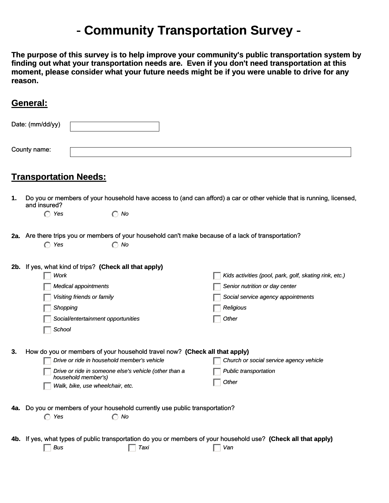# - **Community Transportation Survey** -

<span id="page-12-0"></span>**The purpose of this survey is to help improve your community's public transportation system by finding out what your transportation needs are. Even if you don't need transportation at this moment, please consider what your future needs might be if you were unable to drive for any reason.**

# **General:**

|     | Date: (mm/dd/yy)              |                                                                                                                                                                                                                                               |                                                                                                                                                      |
|-----|-------------------------------|-----------------------------------------------------------------------------------------------------------------------------------------------------------------------------------------------------------------------------------------------|------------------------------------------------------------------------------------------------------------------------------------------------------|
|     | County name:                  |                                                                                                                                                                                                                                               |                                                                                                                                                      |
|     | <b>Transportation Needs:</b>  |                                                                                                                                                                                                                                               |                                                                                                                                                      |
| 1.  | and insured?<br>$\bigcap$ Yes | $\bigcap$ No                                                                                                                                                                                                                                  | Do you or members of your household have access to (and can afford) a car or other vehicle that is running, licensed,                                |
|     | Yes<br>$\bigcap$              | 2a. Are there trips you or members of your household can't make because of a lack of transportation?<br>$\bigcirc$ No                                                                                                                         |                                                                                                                                                      |
|     | Work<br>Shopping<br>School    | 2b. If yes, what kind of trips? (Check all that apply)<br><b>Medical appointments</b><br>Visiting friends or family<br>Social/entertainment opportunities                                                                                     | Kids activities (pool, park, golf, skating rink, etc.)<br>Senior nutrition or day center<br>Social service agency appointments<br>Religious<br>Other |
| 3.  |                               | How do you or members of your household travel now? (Check all that apply)<br>Drive or ride in household member's vehicle<br>Drive or ride in someone else's vehicle (other than a<br>household member's)<br>Walk, bike, use wheelchair, etc. | Church or social service agency vehicle<br>Public transportation<br>Other                                                                            |
| 4а. | $\bigcap$ Yes                 | Do you or members of your household currently use public transportation?<br>$\bigcirc$ No                                                                                                                                                     |                                                                                                                                                      |
| 4b. | <b>Bus</b>                    | Taxi                                                                                                                                                                                                                                          | If yes, what types of public transportation do you or members of your household use? (Check all that apply)<br>Van                                   |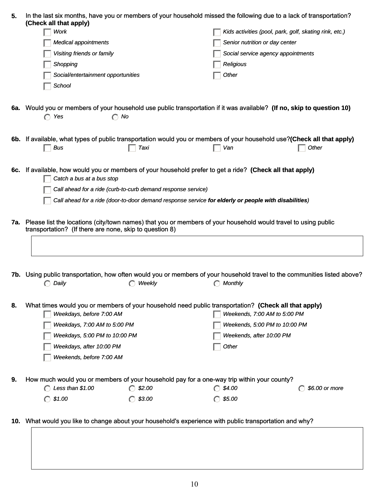| 5.  | In the last six months, have you or members of your household missed the following due to a lack of transportation?<br>(Check all that apply)              |                                                              |                                                                                                      |                                                        |  |  |
|-----|------------------------------------------------------------------------------------------------------------------------------------------------------------|--------------------------------------------------------------|------------------------------------------------------------------------------------------------------|--------------------------------------------------------|--|--|
|     | Work                                                                                                                                                       |                                                              |                                                                                                      | Kids activities (pool, park, golf, skating rink, etc.) |  |  |
|     | <b>Medical appointments</b>                                                                                                                                |                                                              | Senior nutrition or day center                                                                       |                                                        |  |  |
|     | Visiting friends or family                                                                                                                                 |                                                              | Social service agency appointments                                                                   |                                                        |  |  |
|     | Shopping                                                                                                                                                   |                                                              | Religious                                                                                            |                                                        |  |  |
|     | Social/entertainment opportunities                                                                                                                         |                                                              | Other                                                                                                |                                                        |  |  |
|     | School                                                                                                                                                     |                                                              |                                                                                                      |                                                        |  |  |
|     |                                                                                                                                                            |                                                              |                                                                                                      |                                                        |  |  |
|     | 6a. Would you or members of your household use public transportation if it was available? (If no, skip to question 10)<br>$\bigcap$ No<br>$\bigcap$<br>Yes |                                                              |                                                                                                      |                                                        |  |  |
|     | 6b. If available, what types of public transportation would you or members of your household use?(Check all that apply)<br>Bus                             | Taxi                                                         | Van                                                                                                  | Other                                                  |  |  |
|     |                                                                                                                                                            |                                                              |                                                                                                      |                                                        |  |  |
|     | 6c. If available, how would you or members of your household prefer to get a ride? (Check all that apply)<br>Catch a bus at a bus stop                     |                                                              |                                                                                                      |                                                        |  |  |
|     |                                                                                                                                                            | Call ahead for a ride (curb-to-curb demand response service) |                                                                                                      |                                                        |  |  |
|     |                                                                                                                                                            |                                                              | Call ahead for a ride (door-to-door demand response service for elderly or people with disabilities) |                                                        |  |  |
|     |                                                                                                                                                            |                                                              |                                                                                                      |                                                        |  |  |
|     | 7a. Please list the locations (city/town names) that you or members of your household would travel to using public                                         |                                                              |                                                                                                      |                                                        |  |  |
|     | transportation? (If there are none, skip to question 8)                                                                                                    |                                                              |                                                                                                      |                                                        |  |  |
|     |                                                                                                                                                            |                                                              |                                                                                                      |                                                        |  |  |
|     |                                                                                                                                                            |                                                              |                                                                                                      |                                                        |  |  |
|     | <b>7b.</b> Using public transportation, how often would you or members of your household travel to the communities listed above?                           |                                                              |                                                                                                      |                                                        |  |  |
|     | Daily<br>∩                                                                                                                                                 | Weekly                                                       | Monthly<br>∩                                                                                         |                                                        |  |  |
|     |                                                                                                                                                            |                                                              |                                                                                                      |                                                        |  |  |
| 8.  | What times would you or members of your household need public transportation? (Check all that apply)                                                       |                                                              |                                                                                                      |                                                        |  |  |
|     | Weekdays, before 7:00 AM                                                                                                                                   |                                                              | Weekends, 7:00 AM to 5:00 PM                                                                         |                                                        |  |  |
|     | Weekdays, 7:00 AM to 5:00 PM                                                                                                                               |                                                              | Weekends, 5:00 PM to 10:00 PM                                                                        |                                                        |  |  |
|     | Weekdays, 5:00 PM to 10:00 PM                                                                                                                              |                                                              | Weekends, after 10:00 PM                                                                             |                                                        |  |  |
|     | Weekdays, after 10:00 PM                                                                                                                                   |                                                              | Other                                                                                                |                                                        |  |  |
|     | Weekends, before 7:00 AM                                                                                                                                   |                                                              |                                                                                                      |                                                        |  |  |
| 9.  | How much would you or members of your household pay for a one-way trip within your county?                                                                 |                                                              |                                                                                                      |                                                        |  |  |
|     | C Less than \$1.00                                                                                                                                         | $\bigcirc$ \$2.00                                            | $\bigcap$ \$4.00                                                                                     | \$6.00 or more                                         |  |  |
|     | \$1.00<br>$\subset$                                                                                                                                        | \$3.00                                                       | \$5.00                                                                                               |                                                        |  |  |
|     |                                                                                                                                                            |                                                              |                                                                                                      |                                                        |  |  |
| 10. | What would you like to change about your household's experience with public transportation and why?                                                        |                                                              |                                                                                                      |                                                        |  |  |
|     |                                                                                                                                                            |                                                              |                                                                                                      |                                                        |  |  |
|     |                                                                                                                                                            |                                                              |                                                                                                      |                                                        |  |  |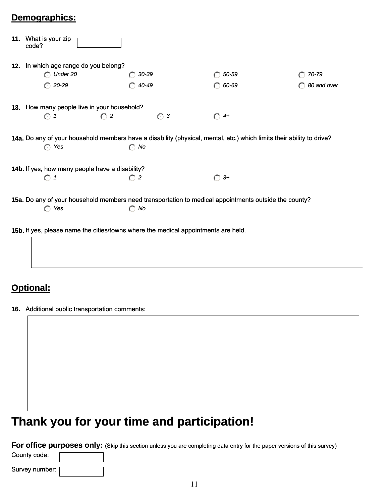# **Demographics:**

| 11. What is your zip<br>code?                                                      |                      |                 |                                                                                                                       |             |  |  |
|------------------------------------------------------------------------------------|----------------------|-----------------|-----------------------------------------------------------------------------------------------------------------------|-------------|--|--|
| 12. In which age range do you belong?                                              |                      |                 |                                                                                                                       |             |  |  |
| $\bigcap$ Under 20                                                                 | $\left(\cdot\right)$ | 30-39           | 50-59                                                                                                                 | 70-79       |  |  |
| $\bigcirc$ 20-29                                                                   |                      | $\bigcap$ 40-49 | 60-69                                                                                                                 | 80 and over |  |  |
| 13. How many people live in your household?                                        |                      |                 |                                                                                                                       |             |  |  |
| $\odot$ 1                                                                          | $\bigcap$ 2          | $\bigcirc$ 3    | $\bigcirc$ 4+                                                                                                         |             |  |  |
|                                                                                    |                      |                 | 14a. Do any of your household members have a disability (physical, mental, etc.) which limits their ability to drive? |             |  |  |
| $\bigcap$ Yes                                                                      | $\bigcirc$ No        |                 |                                                                                                                       |             |  |  |
| 14b. If yes, how many people have a disability?                                    |                      |                 |                                                                                                                       |             |  |  |
| $\bigcirc$ 1                                                                       | $\bigcap 2$          |                 | $3+$<br>$\bigcirc$                                                                                                    |             |  |  |
|                                                                                    |                      |                 | 15a. Do any of your household members need transportation to medical appointments outside the county?                 |             |  |  |
| $\bigcap$ Yes                                                                      | $\bigcirc$ No        |                 |                                                                                                                       |             |  |  |
| 15b. If yes, please name the cities/towns where the medical appointments are held. |                      |                 |                                                                                                                       |             |  |  |
|                                                                                    |                      |                 |                                                                                                                       |             |  |  |

# **Optional:**

**16.** Additional public transportation comments:

# **Thank you for your time and participation!**

**For office purposes only:** (Skip this section unless you are completing data entry for the paper versions of this survey)

Survey number: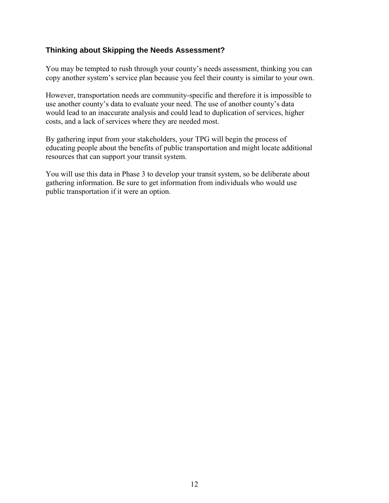### **Thinking about Skipping the Needs Assessment?**

You may be tempted to rush through your county's needs assessment, thinking you can copy another system's service plan because you feel their county is similar to your own.

However, transportation needs are community-specific and therefore it is impossible to use another county's data to evaluate your need. The use of another county's data would lead to an inaccurate analysis and could lead to duplication of services, higher costs, and a lack of services where they are needed most.

By gathering input from your stakeholders, your TPG will begin the process of educating people about the benefits of public transportation and might locate additional resources that can support your transit system.

You will use this data in Phase 3 to develop your transit system, so be deliberate about gathering information. Be sure to get information from individuals who would use public transportation if it were an option.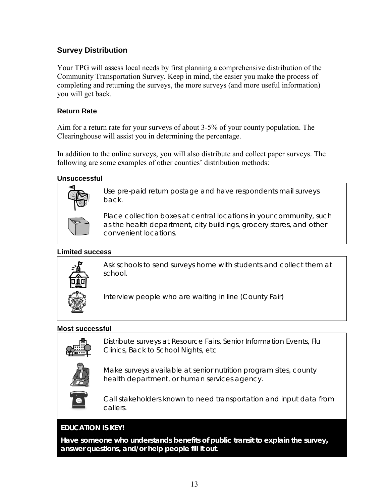# <span id="page-16-0"></span>**Survey Distribution**

Your TPG will assess local needs by first planning a comprehensive distribution of the Community Transportation Survey. Keep in mind, the easier you make the process of completing and returning the surveys, the more surveys (and more useful information) you will get back.

#### **Return Rate**

Aim for a return rate for your surveys of about 3-5% of your county population. The Clearinghouse will assist you in determining the percentage.

In addition to the online surveys, you will also distribute and collect paper surveys. The following are some examples of other counties' distribution methods:

#### **Unsuccessful**



Use pre-paid return postage and have respondents mail surveys back.

Place collection boxes at central locations in your community, such as the health department, city buildings, grocery stores, and other convenient locations.

#### **Limited success**



Ask schools to send surveys home with students and collect them at school.

Interview people who are waiting in line (County Fair)

#### **Most successful**

| m | Distribute surveys at Resource Fairs, Senior Information Events, Flu<br>Clinics, Back to School Nights, etc.     |
|---|------------------------------------------------------------------------------------------------------------------|
|   | Make surveys available at senior nutrition program sites, county<br>health department, or human services agency. |
|   | $\bigcap$ all statistical algebra transported to response a statistic constitution to the formula                |

Call stakeholders known to need transportation and input data from callers.

# **EDUCATION IS KEY!**

**Have someone who understands benefits of public transit to explain the survey, answer questions, and/or help people fill it out**.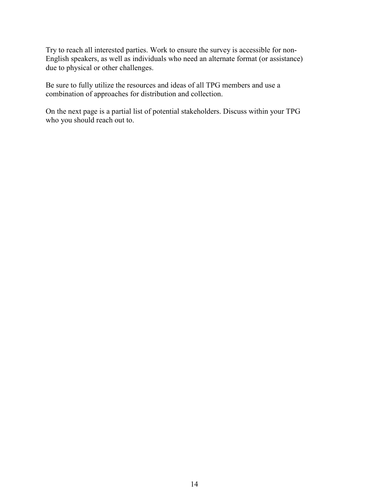Try to reach all interested parties. Work to ensure the survey is accessible for non-English speakers, as well as individuals who need an alternate format (or assistance) due to physical or other challenges.

Be sure to fully utilize the resources and ideas of all TPG members and use a combination of approaches for distribution and collection.

On the next page is a partial list of potential stakeholders. Discuss within your TPG who you should reach out to.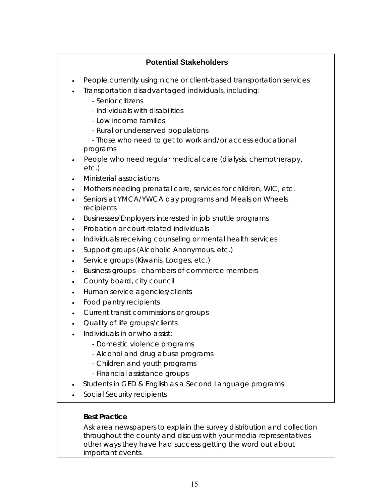# **Potential Stakeholders**

- <span id="page-18-0"></span>• People currently using niche or client-based transportation services
- Transportation disadvantaged individuals, including:
	- Senior citizens
	- Individuals with disabilities
	- Low income families
	- Rural or underserved populations

- Those who need to get to work and/or access educational programs

- People who need regular medical care (dialysis, chemotherapy, etc.)
- Ministerial associations
- Mothers needing prenatal care, services for children, WIC, etc.
- Seniors at YMCA/YWCA day programs and Meals on Wheels recipients
- Businesses/Employers interested in job shuttle programs
- Probation or court-related individuals
- Individuals receiving counseling or mental health services
- Support groups (Alcoholic Anonymous, etc.)
- Service groups (Kiwanis, Lodges, etc.)
- Business groups chambers of commerce members
- County board, city council
- Human service agencies/clients
- Food pantry recipients
- Current transit commissions or groups
- Quality of life groups/clients
- Individuals in or who assist:
	- Domestic violence programs
	- Alcohol and drug abuse programs
	- Children and youth programs
	- Financial assistance groups
- Students in GED & English as a Second Language programs
- Social Security recipients

# **Best Practice**

Ask area newspapers to explain the survey distribution and collection throughout the county and discuss with your media representatives other ways they have had success getting the word out about important events.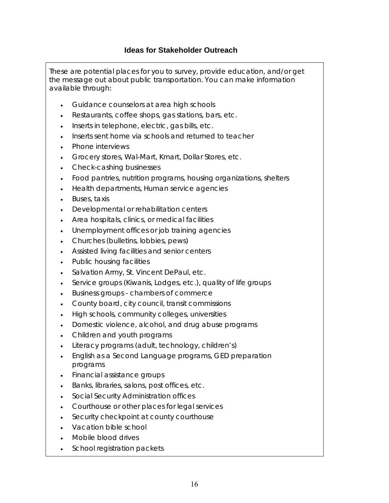<span id="page-19-0"></span>These are potential places for you to survey, provide education, and/or get the message out about public transportation. You can make information available through:

- Guidance counselors at area high schools
- Restaurants, coffee shops, gas stations, bars, etc.
- Inserts in telephone, electric, gas bills, etc.
- Inserts sent home via schools and returned to teacher
- Phone interviews
- Grocery stores, Wal-Mart, Kmart, Dollar Stores, etc.
- Check-cashing businesses
- Food pantries, nutrition programs, housing organizations, shelters
- Health departments, Human service agencies
- Buses, taxis
- Developmental or rehabilitation centers
- Area hospitals, clinics, or medical facilities
- Unemployment offices or job training agencies
- Churches (bulletins, lobbies, pews)
- Assisted living facilities and senior centers
- Public housing facilities
- Salvation Army, St. Vincent DePaul, etc.
- Service groups (Kiwanis, Lodges, etc.), quality of life groups
- Business groups chambers of commerce
- County board, city council, transit commissions
- High schools, community colleges, universities
- Domestic violence, alcohol, and drug abuse programs
- Children and youth programs
- Literacy programs (adult, technology, children's)
- English as a Second Language programs, GED preparation programs
- Financial assistance groups
- Banks, libraries, salons, post offices, etc.
- Social Security Administration offices
- Courthouse or other places for legal services
- Security checkpoint at county courthouse
- Vacation bible school
- Mobile blood drives
- School registration packets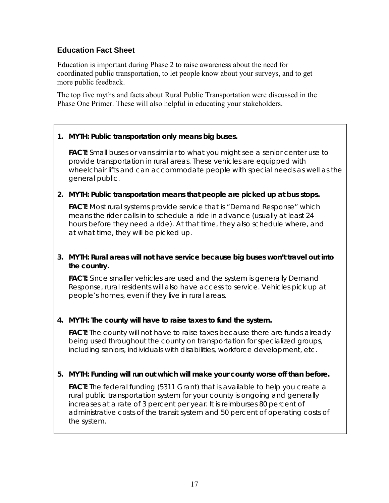# <span id="page-20-0"></span>**Education Fact Sheet**

Education is important during Phase 2 to raise awareness about the need for coordinated public transportation, to let people know about your surveys, and to get more public feedback.

The top five myths and facts about Rural Public Transportation were discussed in the Phase One Primer. These will also helpful in educating your stakeholders.

## **1.** *MYTH: Public transportation only means big buses.*

**FACT:** Small buses or vans similar to what you might see a senior center use to provide transportation in rural areas. These vehicles are equipped with wheelchair lifts and can accommodate people with special needs as well as the general public.

#### **2.** *MYTH: Public transportation means that people are picked up at bus stops.*

**FACT:** Most rural systems provide service that is "Demand Response" which means the rider calls in to schedule a ride in advance (usually at least 24 hours before they need a ride). At that time, they also schedule where, and at what time, they will be picked up.

#### **3.** *MYTH: Rural areas will not have service because big buses won't travel out into the country.*

**FACT:** Since smaller vehicles are used and the system is generally Demand Response, rural residents will also have access to service. Vehicles pick up at people's homes, even if they live in rural areas.

#### **4.** *MYTH: The county will have to raise taxes to fund the system.*

**FACT:** The county will not have to raise taxes because there are funds already being used throughout the county on transportation for specialized groups, including seniors, individuals with disabilities, workforce development, etc.

#### **5.** *MYTH: Funding will run out which will make your county worse off than before.*

**FACT:** The federal funding (5311 Grant) that is available to help you create a rural public transportation system for your county is ongoing and generally increases at a rate of 3 percent per year. It is reimburses 80 percent of administrative costs of the transit system and 50 percent of operating costs of the system.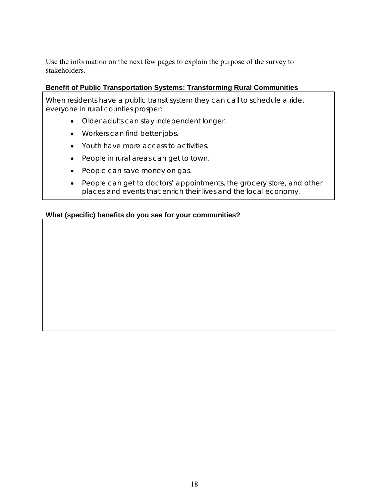Use the information on the next few pages to explain the purpose of the survey to stakeholders.

#### **Benefit of Public Transportation Systems: Transforming Rural Communities**

When residents have a public transit system they can call to schedule a ride, everyone in rural counties prosper:

- Older adults can stay independent longer.
- Workers can find better jobs.
- Youth have more access to activities.
- People in rural areas can get to town.
- People can save money on gas.
- People can get to doctors' appointments, the grocery store, and other places and events that enrich their lives and the local economy.

#### **What (specific) benefits do you see for your communities?**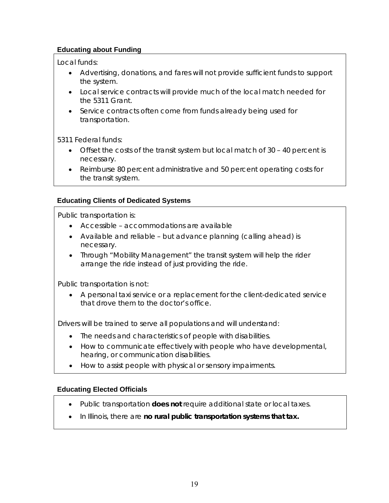## **Educating about Funding**

Local funds:

- Advertising, donations, and fares will not provide sufficient funds to support the system.
- Local service contracts will provide much of the local match needed for the 5311 Grant.
- Service contracts often come from funds already being used for transportation.

5311 Federal funds:

- Offset the costs of the transit system but local match of 30 40 percent is necessary.
- Reimburse 80 percent administrative and 50 percent operating costs for the transit system.

# **Educating Clients of Dedicated Systems**

Public transportation is:

- Accessible accommodations are available
- Available and reliable but advance planning (calling ahead) is necessary.
- Through "Mobility Management" the transit system will help the rider arrange the ride instead of just providing the ride.

Public transportation is not:

• A personal taxi service or a replacement for the client-dedicated service that drove them to the doctor's office.

Drivers will be trained to serve all populations and will understand:

- The needs and characteristics of people with disabilities.
- How to communicate effectively with people who have developmental, hearing, or communication disabilities.
- How to assist people with physical or sensory impairments.

# **Educating Elected Officials**

- Public transportation **does not** require additional state or local taxes.
- In Illinois, there are **no rural public transportation systems that tax.**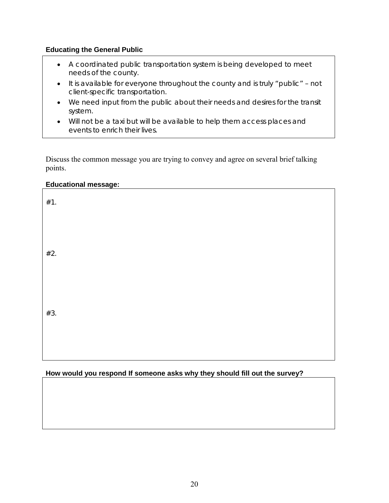#### **Educating the General Public**

- A coordinated public transportation system is being developed to meet needs of the county.
- It is available for everyone throughout the county and is truly "public" not client-specific transportation.
- We need input from the public about their needs and desires for the transit system.
- Will not be a taxi but will be available to help them access places and events to enrich their lives.

Discuss the common message you are trying to convey and agree on several brief talking points.

#### **Educational message:**

| #1. |  |  |  |
|-----|--|--|--|
|     |  |  |  |
| #2. |  |  |  |
|     |  |  |  |
| #3. |  |  |  |
|     |  |  |  |

## **How would you respond If someone asks why they should fill out the survey?**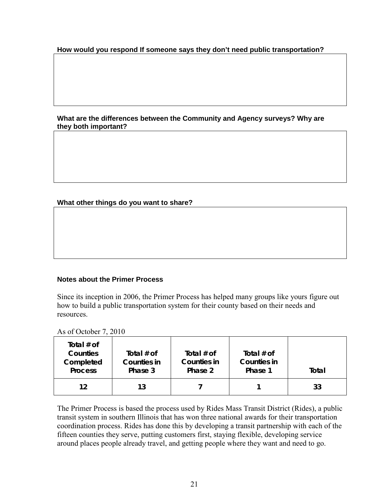#### **How would you respond If someone says they don't need public transportation?**

#### **What are the differences between the Community and Agency surveys? Why are they both important?**

#### **What other things do you want to share?**

#### **Notes about the Primer Process**

Since its inception in 2006, the Primer Process has helped many groups like yours figure out how to build a public transportation system for their county based on their needs and resources.

As of October 7, 2010

| Total $#$ of<br>Counties<br>Completed<br><b>Process</b> | Total $#$ of<br><b>Counties in</b><br>Phase 3 | Total $#$ of<br><b>Counties in</b><br>Phase 2 | Total $#$ of<br><b>Counties in</b><br>Phase 1 | Total |
|---------------------------------------------------------|-----------------------------------------------|-----------------------------------------------|-----------------------------------------------|-------|
|                                                         |                                               |                                               |                                               |       |
| 12                                                      | 13                                            |                                               |                                               | 33    |

The Primer Process is based the process used by Rides Mass Transit District (Rides), a public transit system in southern Illinois that has won three national awards for their transportation coordination process. Rides has done this by developing a transit partnership with each of the fifteen counties they serve, putting customers first, staying flexible, developing service around places people already travel, and getting people where they want and need to go.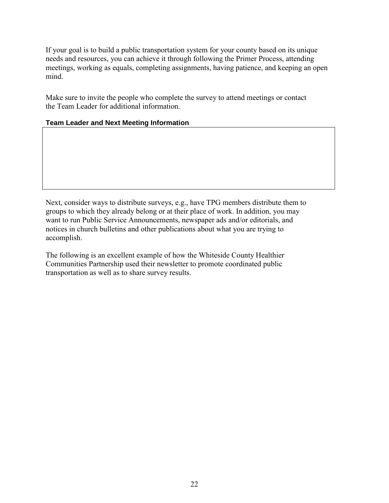If your goal is to build a public transportation system for your county based on its unique needs and resources, you can achieve it through following the Primer Process, attending meetings, working as equals, completing assignments, having patience, and keeping an open mind.

Make sure to invite the people who complete the survey to attend meetings or contact the Team Leader for additional information.

#### **Team Leader and Next Meeting Information**

Next, consider ways to distribute surveys, e.g., have TPG members distribute them to groups to which they already belong or at their place of work. In addition, you may want to run Public Service Announcements, newspaper ads and/or editorials, and notices in church bulletins and other publications about what you are trying to accomplish.

The following is an excellent example of how the Whiteside County Healthier Communities Partnership used their newsletter to promote coordinated public transportation as well as to share survey results.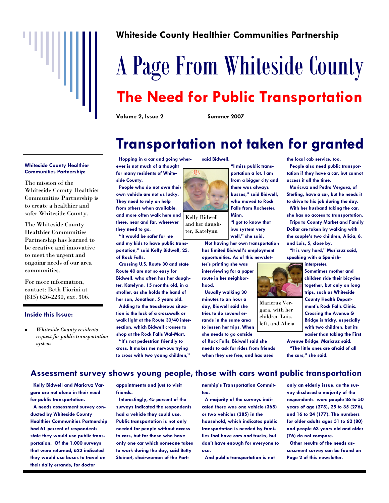

# **Whiteside County Healthier Communities Partnership**

# A Page From Whiteside County **The Need for Public Transportation**

**Volume 2, Issue 2 Summer 2007** 

**side County.** 

**they need to go.** 

**of Rock Falls.** 

**Hopping in a car and going wherever is not much of a thought for many residents of White-**

**People who do not own their own vehicle are not as lucky. They need to rely on help from others when available, and more often walk here and there, near and far, wherever** 

**"It would be safer for me and my kids to have public transportation," said Kelly Bidwell, 25,** 

**Crossing U.S. Route 30 and state Route 40 are not so easy for Bidwell, who often has her daughter, Katelynn, 15 months old, in a stroller, as she holds the hand of her son, Jonathan, 5 years old. Adding to the treacherous situation is the lack of a crosswalk or walk light at the Route 30/40 intersection, which Bidwell crosses to shop at the Rock Falls Wal-Mart. "It"s not pedestrian friendly to cross. It makes me nervous trying to cross with two young children,"** 

# **Transportation not taken for granted**

**"I miss public transportation a lot. I am from a bigger city and there was always busses," said Bidwell, who moved to Rock Falls from Rochester,** 

#### **Whiteside County Healthier Communities Partnership:**

The mission of the Whiteside County Healthier Communities Partnership is to create a healthier and safer Whiteside County.

The Whiteside County Healthier Communities Partnership has learned to be creative and innovative to meet the urgent and ongoing needs of our area communities.

For more information, contact: Beth Fiorini at (815) 626-2230, ext. 306.

#### **Inside this Issue:**

*Whiteside County residents request for public transportation system* 



**said Bidwell.** 

Kelly Bidwell and her daughter, Katelynn

> **Not having her own transportation has limited Bidwell"s employment**

**ter"s printing she was interviewing for a paper route in her neighborhood.** 

**Usually walking 30 minutes to an hour a day, Bidwell said she tries to do several errands in the same area to lessen her trips. When she needs to go outside** 

**of Rock Falls, Bidwell said she needs to ask for rides from friends when they are free, and has used** 

**the local cab service, too.** 

**People also need public transportation if they have a car, but cannot access it all the time.** 

**Maricruz and Pedro Vergara, of Sterling, have a car, but he needs it to drive to his job during the day.** 

**With her husband taking the car, she has no access to transportation.** 

**Trips to County Market and Family Dollar are taken by walking with the couple"s two children, Alicia, 6, and Luis, 5, close by.** 

**"It is very hard," Maricruz said, speaking with a Spanish-**

**interpreter.** 



Maricruz Vergara, with her children Luis, left, and Alicia

**Sometimes mother and children ride their bicycles together, but only on long trips, such as Whiteside County Health Department"s Rock Falls Clinic. Crossing the Avenue G Bridge is tricky, especially with two children, but its easier than taking the First** 

**Avenue Bridge, Maricruz said. "The little ones are afraid of all** 

**the cars," she said.**

#### **Assessment survey shows young people, those with cars want public transportation**

**Kelly Bidwell and Maricruz Vargara are not alone in their need for public transportation.** 

**A needs assessment survey conducted by Whiteside County Healthier Communities Partnership had 61 percent of respondents state they would use public transportation. Of the 1,000 surveys that were returned, 622 indicated they would use buses to travel on their daily errands, for doctor** 

**appointments and just to visit friends.** 

**Interestingly, 45 percent of the surveys indicated the respondents had a vehicle they could use. Public transportation is not only needed for people without access to cars, but for those who have only one car which someone takes to work during the day, said Betty Steinert, chairwoman of the Part-** **nership"s Transportation Committee.** 

**A majority of the surveys indicated there was one vehicle (368) or two vehicles (385) in the household, which indicates public transportation is needed by families that have cars and trucks, but don"t have enough for everyone to use.** 

**And public transportation is not** 

**only an elderly issue, as the survey disclosed a majority of the respondents were people 36 to 50 years of age (278), 25 to 35 (276), and 16 to 24 (177). The numbers for older adults ages 51 to 62 (80) and people 63 years old and older (76) do not compare.** 

**Other results of the needs assessment survey can be found on Page 2 of this newsletter.** 

**Minn. "I got to know that bus system very well," she said.**

**opportunities. As of this newslet-**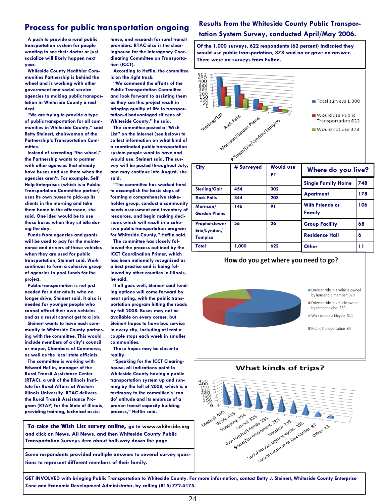# **Process for public transportation ongoing**

**A push to provide a rural public transportation system for people wanting to see their doctor or just socialize will likely happen next year.** 

**Whiteside County Healthier Communities Partnership is behind the wheel and is working with other government and social service agencies to making public transportation in Whiteside County a real deal.** 

**"We are trying to provide a type of public transportation for all communities in Whiteside County," said Betty Steinert, chairwoman of the Partnership"s Transportation Committee.** 

**Instead of recreating "the wheel," the Partnership wants to partner with other agencies that already have buses and use them when the agencies aren"t. For example, Self Help Enterprises (which is a Public Transportation Committee partner) uses its own buses to pick-up its clients in the morning and take them home in the afternoon, she said. One idea would be to use those buses when they sit idle during the day.** 

**Funds from agencies and grants will be used to pay for the maintenance and drivers of those vehicles when they are used for public transportation, Steinert said. Work continues to form a cohesive group of agencies to pool funds for the project.** 

**Public transportation is not just needed for older adults who no longer drive, Steinert said. It also is needed for younger people who cannot afford their own vehicles and as a result cannot get to a job.** 

**Steinert wants to have each community in Whiteside County partnering with the committee. This would include members of a city"s council or mayor, Chambers of Commerce, as well as the local state officials.** 

**The committee is working with Edward Heflin, manager of the Rural Transit Assistance Center (RTAC), a unit of the Illinois Institute for Rural Affairs at Western Illinois University. RTAC delivers the Rural Transit Assistance Program (RTAP) for the State of Illinois, providing training, technical assis-** **tance, and research for rural transit providers. RTAC also is the clearinghouse for the Interagency Coordinating Committee on Transportation (ICCT).** 

**According to Heflin, the committee is on the right track.** 

**"We commend the efforts of the Public Transportation Committee and look forward to assisting them as they see this project result in bringing quality of life to transportation-disadvantaged citizens of Whiteside County," he said.**

**The committee posted a "Wish List" on the Internet (see below) to collect information on what kind of a coordinated public transportation system people want to have and would use, Steinert said. The survey will be posted throughout July, and may continue into August, she said.** 

**"The committee has worked hard to accomplish the basic steps of forming a comprehensive stakeholder group, conduct a community needs assessment and inventory of resources, and begin making decisions which will result in a cohesive public transportation program for Whiteside County," Heflin said.**

**The committee has closely followed the process outlined by the ICCT Coordination Primer, which has been nationally recognized as a best practice and is being followed by other counties in Illinois, he said.** 

**If all goes well, Steinert said funding options will come forward by next spring, with the public transportation program hitting the roads by fall 2008. Buses may not be available on every corner, but Steinert hopes to have bus service in every city, including at least a couple stops each week in smaller communities.** 

**Those hopes may be closer to reality.** 

**"Speaking for the ICCT Clearinghouse, all indications point to Whiteside County having a public transportation system up and running by the fall of 2008, which is a testimony to the committee"s "can do" attitude and its embrace of a proven transit capacity building process," Heflin said.**

 **To take the Wish List survey online, go to www.whiteside.org and click on News, All News, and then Whiteside County Public Transportation Surveys item about half-way down the page.** 

**Some respondents provided multiple answers to several survey questions to represent different members of their family.** 

#### **Results from the Whiteside County Public Transportation System Survey, conducted April/May 2006.**

**Of the 1,000 surveys, 622 respondents (62 percent) indicated they would use public transportation, 378 said no or gave no answer. There were no surveys from Fulton.** 



| City                              | # Surveyed | <b>Would use</b><br>РT | Where do you live?               |     |
|-----------------------------------|------------|------------------------|----------------------------------|-----|
|                                   |            |                        | <b>Single Family Home</b>        | 748 |
| Sterling/Galt                     | 454        | 302                    | <b>Apartment</b>                 | 178 |
| <b>Rock Falls</b>                 | 344        | 203                    |                                  |     |
| Morrison/<br><b>Garden Plains</b> | 146        | 91                     | <b>With Friends or</b><br>Family | 106 |
| Prophetstown/                     | 56         | 26                     | <b>Group Facility</b>            | 68  |
| Erie/Lyndon/<br><b>Tampico</b>    |            |                        | <b>Residence Hall</b>            | 6   |
| Total                             | 1.000      | 622                    | Other                            | 11  |









**GET INVOLVED with bringing Public Transportation to Whiteside County. For more information, contact Betty J. Steinert, Whiteside County Enterprise Zone and Economic Development Administrator, by calling (815) 772-5175.**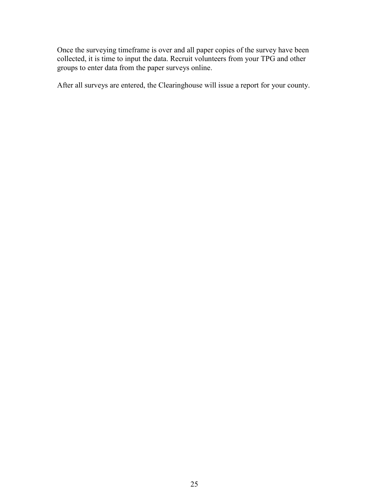Once the surveying timeframe is over and all paper copies of the survey have been collected, it is time to input the data. Recruit volunteers from your TPG and other groups to enter data from the paper surveys online.

After all surveys are entered, the Clearinghouse will issue a report for your county.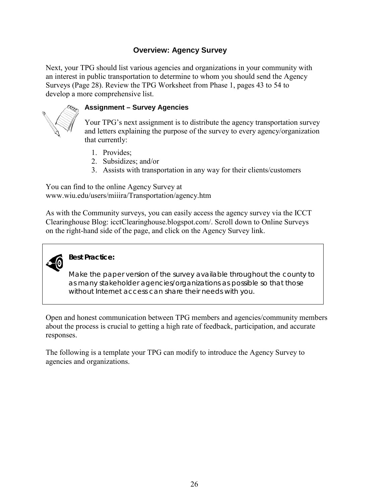# **Overview: Agency Survey**

<span id="page-29-0"></span>Next, your TPG should list various agencies and organizations in your community with an interest in public transportation to determine to whom you should send the Agency Surveys (Page 28). Review the TPG Worksheet from Phase 1, pages 43 to 54 to develop a more comprehensive list.



#### **Assignment – Survey Agencies**

Your TPG's next assignment is to distribute the agency transportation survey and letters explaining the purpose of the survey to every agency/organization that currently:

- 1. Provides;
- 2. Subsidizes; and/or
- 3. Assists with transportation in any way for their clients/customers

You can find to the online Agency Survey at [www.wiu.edu/users/miiira/Transportation/agency.htm](http://www.wiu.edu/users/miiira/Transportation/agency.htm) 

As with the Community surveys, you can easily access the agency survey via the ICCT Clearinghouse Blog: [icctClearinghouse.blogspot.com/](http://icctclearinghouse.blogspot.com/). Scroll down to Online Surveys on the right-hand side of the page, and click on the Agency Survey link.



# **Best Practice:**

Make the paper version of the survey available throughout the county to as many stakeholder agencies/organizations as possible so that those without Internet access can share their needs with you.

Open and honest communication between TPG members and agencies/community members about the process is crucial to getting a high rate of feedback, participation, and accurate responses.

The following is a template your TPG can modify to introduce the Agency Survey to agencies and organizations.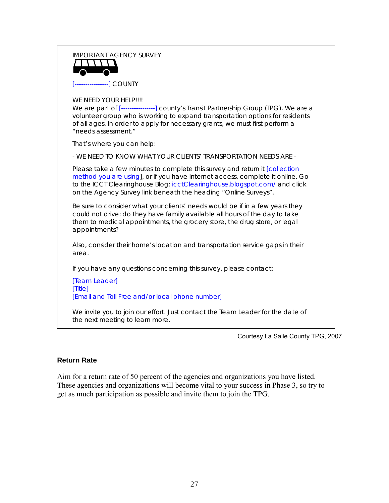# IMPORTANT AGENCY SURVEY [----------------] COUNTY WE NEED YOUR HELP!!!! We are part of [---------------] county's Transit Partnership Group (TPG). We are a volunteer group who is working to expand transportation options for residents of all ages. In order to apply for necessary grants, we must first perform a "needs assessment." That's where you can help: - WE NEED TO KNOW WHAT YOUR CLIENTS' TRANSPORTATION NEEDS ARE - Please take a few minutes to complete this survey and return it [collection method you are using], or if you have Internet access, complete it online. Go to the ICCT Clearinghouse Blog: [icctClearinghouse.blogspot.com/](http://icctclearinghouse.blogspot.com/) and click on the Agency Survey link beneath the heading "Online Surveys". Be sure to consider what your clients' needs would be if in a few years they could not drive: do they have family available all hours of the day to take them to medical appointments, the grocery store, the drug store, or legal appointments? Also, consider their home's location and transportation service gaps in their area. If you have any questions concerning this survey, please contact: [Team Leader] [Title] [Email and Toll Free and/or local phone number] We invite you to join our effort. Just contact the Team Leader for the date of the next meeting to learn more.

Courtesy La Salle County TPG, 2007

#### **Return Rate**

Aim for a return rate of 50 percent of the agencies and organizations you have listed. These agencies and organizations will become vital to your success in Phase 3, so try to get as much participation as possible and invite them to join the TPG.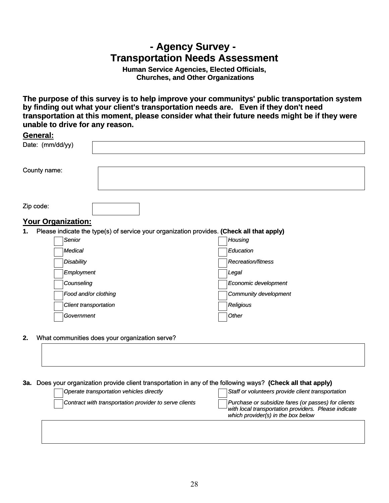# **- Agency Survey - Transportation Needs Assessment**

**Human Service Agencies, Elected Officials, Churches, and Other Organizations**

<span id="page-31-0"></span>**The purpose of this survey is to help improve your communitys' public transportation system by finding out what your client's transportation needs are. Even if they don't need transportation at this moment, please consider what their future needs might be if they were unable to drive for any reason.**

| <b>General:</b>            |                                                                                           |                       |  |
|----------------------------|-------------------------------------------------------------------------------------------|-----------------------|--|
| Date: (mm/dd/yy)           |                                                                                           |                       |  |
|                            |                                                                                           |                       |  |
| County name:               |                                                                                           |                       |  |
|                            |                                                                                           |                       |  |
| Zip code:                  |                                                                                           |                       |  |
| <u> Your Organization:</u> |                                                                                           |                       |  |
| 1.                         | Please indicate the type(s) of service your organization provides. (Check all that apply) |                       |  |
| Senior                     |                                                                                           | Housing               |  |
| Medical                    |                                                                                           | Education             |  |
| <b>Disability</b>          |                                                                                           | Recreation/fitness    |  |
| Employment                 |                                                                                           | Legal                 |  |
| Counseling                 |                                                                                           | Economic development  |  |
| Food and/or clothing       |                                                                                           | Community development |  |
| Client transportation      |                                                                                           | Religious             |  |
| Government                 |                                                                                           | Other                 |  |
|                            |                                                                                           |                       |  |

**2.** What communities does your organization serve?

#### **3a.** Does your organization provide client transportation in any of the following ways? **(Check all that apply)**

| <b>Operate transportation vehicles directly</b>        | Staff or volunteers provide client transportation                                                                                                 |
|--------------------------------------------------------|---------------------------------------------------------------------------------------------------------------------------------------------------|
| Contract with transportation provider to serve clients | Purchase or subsidize fares (or passes) for clients<br>with local transportation providers. Please indicate<br>which provider(s) in the box below |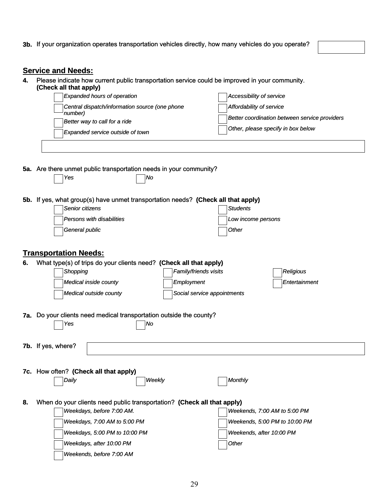**3b.** If your organization operates transportation vehicles directly, how many vehicles do you operate?

#### **Service and Needs:**

**4.** Please indicate how current public transportation service could be improved in your community. **(Check all that apply)**

| OHGON AH UTAL APPIYA<br><b>Expanded hours of operation</b>                                                                     | Accessibility of service                                                                                        |
|--------------------------------------------------------------------------------------------------------------------------------|-----------------------------------------------------------------------------------------------------------------|
| Central dispatch/information source (one phone<br>number)<br>Better way to call for a ride<br>Expanded service outside of town | Affordability of service<br>Better coordination between service providers<br>Other, please specify in box below |
|                                                                                                                                |                                                                                                                 |

**5a.** Are there unmet public transportation needs in your community?

*Yes No*

| 5b. If yes, what group(s) have unmet transportation needs? (Check all that apply) |  |
|-----------------------------------------------------------------------------------|--|
|                                                                                   |  |

| Senior citizens           | Students           |
|---------------------------|--------------------|
| Persons with disabilities | Low income persons |
| General public            | Other              |

#### **Transportation Needs:**

| 6. | What type(s) of trips do your clients need? (Check all that apply)         |                             |               |
|----|----------------------------------------------------------------------------|-----------------------------|---------------|
|    | Shopping                                                                   | Family/friends visits       | Religious     |
|    | Medical inside county                                                      | Employment                  | Entertainment |
|    | Medical outside county                                                     | Social service appointments |               |
|    |                                                                            |                             |               |
|    | <b>7a.</b> Do your clients need medical transportation outside the county? |                             |               |
|    | Yes<br> No                                                                 |                             |               |
|    |                                                                            |                             |               |
|    | <b>7b.</b> If yes, where?                                                  |                             |               |

**7c.** How often? **(Check all that apply)** *Daily Weekly Monthly*

|--|

**8.** When do your clients need public transportation? **(Check all that apply)**

| Weekdays, before 7:00 AM.     | $ $ Weekends, 7:00 AM to 5:00 PM $ $ |
|-------------------------------|--------------------------------------|
| Weekdays, 7:00 AM to 5:00 PM  | Weekends, 5:00 PM to 10:00 PM        |
| Weekdays, 5:00 PM to 10:00 PM | Weekends, after 10:00 PM             |
| Weekdays, after 10:00 PM      | $\vert$ Other                        |
| Weekends, before 7:00 AM      |                                      |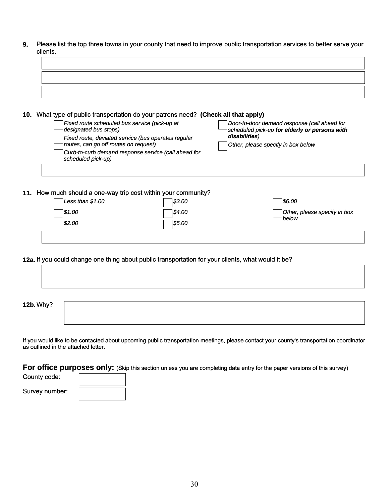**9.** Please list the top three towns in your county that need to improve public transportation services to better serve your clients.

| 10. What type of public transportation do your patrons need? (Check all that apply)                        |                                                                                                                    |
|------------------------------------------------------------------------------------------------------------|--------------------------------------------------------------------------------------------------------------------|
| Fixed route scheduled bus service (pick-up at<br>$\rightharpoonup$ designated bus stops)                   | Door-to-door demand response (call ahead for<br>$^{\text{!}}$ scheduled pick-up <b>for elderly or persons with</b> |
| Fixed route, deviated service (bus operates regular<br>$\rightarrow$ routes, can go off routes on request) | disabilities)<br>Other, please specify in box below                                                                |
| Curb-to-curb demand response service (call ahead for                                                       |                                                                                                                    |

**11.** How much should a one-way trip cost within your community?

*scheduled pick-up)*

| Less than $$1.00$ | \$3.00 | \$6.00                       |
|-------------------|--------|------------------------------|
| \$1.00            | \$4.00 | Other, please specify in box |
| \$2.00            | \$5.00 | below                        |
|                   |        |                              |

**12a.** If you could change one thing about public transportation for your clients, what would it be?

| <b>12b. Why?</b> |  |  |  |
|------------------|--|--|--|
|                  |  |  |  |

If you would like to be contacted about upcoming public transportation meetings, please contact your county's transportation coordinator as outlined in the attached letter.

**For office purposes only:** (Skip this section unless you are completing data entry for the paper versions of this survey)

| County code:   |  |
|----------------|--|
| Survey number: |  |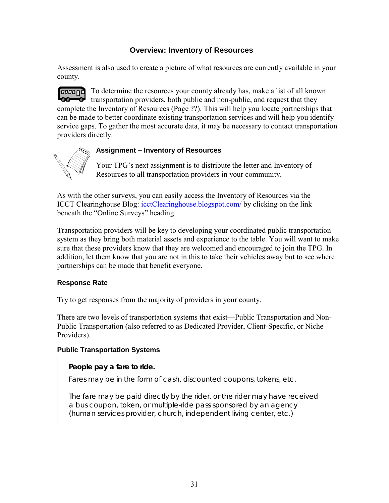## **Overview: Inventory of Resources**

<span id="page-34-0"></span>Assessment is also used to create a picture of what resources are currently available in your county.

*CODDDD* To determine the resources your county already has, make a list of all known transportation providers, both public and non-public, and request that they complete the Inventory of Resources (Page ??). This will help you locate partnerships that can be made to better coordinate existing transportation services and will help you identify service gaps. To gather the most accurate data, it may be necessary to contact transportation providers directly.



## **Assignment – Inventory of Resources**

Your TPG's next assignment is to distribute the letter and Inventory of Resources to all transportation providers in your community.

As with the other surveys, you can easily access the Inventory of Resources via the ICCT Clearinghouse Blog: [icctClearinghouse.blogspot.com/](http://icctclearinghouse.blogspot.com/) by clicking on the link beneath the "Online Surveys" heading.

Transportation providers will be key to developing your coordinated public transportation system as they bring both material assets and experience to the table. You will want to make sure that these providers know that they are welcomed and encouraged to join the TPG. In addition, let them know that you are not in this to take their vehicles away but to see where partnerships can be made that benefit everyone.

#### **Response Rate**

Try to get responses from the majority of providers in your county.

There are two levels of transportation systems that exist—Public Transportation and Non-Public Transportation (also referred to as Dedicated Provider, Client-Specific, or Niche Providers).

#### **Public Transportation Systems**

#### **People pay a fare to ride.**

Fares may be in the form of cash, discounted coupons, tokens, etc.

The fare may be paid directly by the rider, or the rider may have received a bus coupon, token, or multiple-ride pass sponsored by an agency (human services provider, church, independent living center, etc.)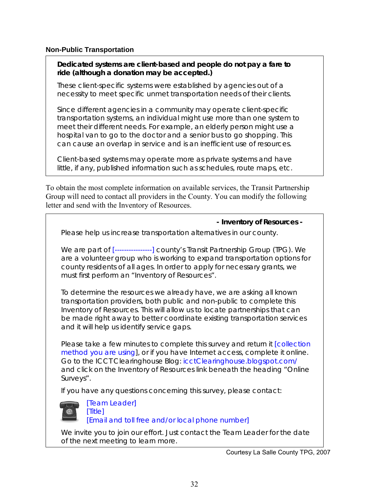#### **Non-Public Transportation**

#### **Dedicated systems are client-based and people do not pay a fare to ride (although a donation may be accepted.)**

These client-specific systems were established by agencies out of a necessity to meet specific unmet transportation needs of their clients.

Since different agencies in a community may operate client-specific transportation systems, an individual might use more than one system to meet their different needs. For example, an elderly person might use a hospital van to go to the doctor and a senior bus to go shopping. This can cause an overlap in service and is an inefficient use of resources.

Client-based systems may operate more as private systems and have little, if any, published information such as schedules, route maps, etc.

To obtain the most complete information on available services, the Transit Partnership Group will need to contact all providers in the County. You can modify the following letter and send with the Inventory of Resources.



and click on the Inventory of Resources link beneath the heading "Online Surveys".

If you have any questions concerning this survey, please contact:



[ Team Leader]

[ Title] [ Email and toll free and/or local phone number]

We invite you to join our effort. Just contact the Team Leader for the date of the next meeting to learn more.

Courtesy La Salle County TPG, 2007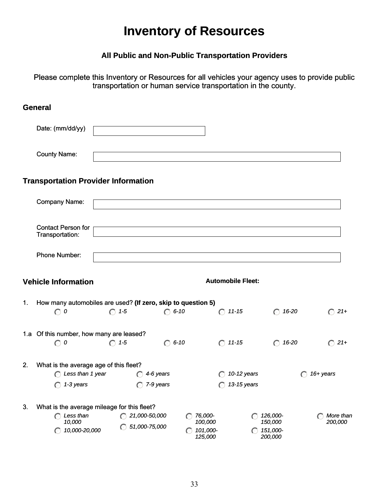# **Inventory of Resources**

# **All Public and Non-Public Transportation Providers**

<span id="page-36-0"></span>Please complete this Inventory or Resources for all vehicles your agency uses to provide public transportation or human service transportation in the county.

|    | <b>General</b>                                               |                          |                        |                                |                          |                                |                |
|----|--------------------------------------------------------------|--------------------------|------------------------|--------------------------------|--------------------------|--------------------------------|----------------|
|    | Date: (mm/dd/yy)                                             |                          |                        |                                |                          |                                |                |
|    | <b>County Name:</b>                                          |                          |                        |                                |                          |                                |                |
|    | <b>Transportation Provider Information</b>                   |                          |                        |                                |                          |                                |                |
|    | Company Name:                                                |                          |                        |                                |                          |                                |                |
|    | <b>Contact Person for</b><br>Transportation:                 |                          |                        |                                |                          |                                |                |
|    | Phone Number:                                                |                          |                        |                                |                          |                                |                |
|    | <b>Vehicle Information</b>                                   |                          |                        |                                | <b>Automobile Fleet:</b> |                                |                |
| 1. | How many automobiles are used? (If zero, skip to question 5) |                          |                        |                                |                          |                                |                |
|    | $\bigcirc$ 0                                                 | $\bigcap$ 1-5            | $\bigcirc$ 6-10        |                                | $\bigcap$ 11-15          | $\bigcap$ 16-20                | $\bigcirc$ 21+ |
|    | 1.a Of this number, how many are leased?                     |                          |                        |                                |                          |                                |                |
|    | $\bigcirc$ 0                                                 | $\bigcirc$ 1-5           | $\bigcirc$ 6-10        |                                | $O$ 11-15                | $\bigcirc$ 16-20               | $\bigcirc$ 21+ |
| 2. | What is the average age of this fleet?                       |                          |                        |                                |                          |                                |                |
|    | $\bigcap$ Less than 1 year                                   | 4-6 years                |                        |                                | 10-12 years              | $(\cdot)$                      | 16+ years      |
|    | $\bigcap$ 1-3 years                                          | 7-9 years<br>⊙           |                        | ∩                              | 13-15 years              |                                |                |
| 3. | What is the average mileage for this fleet?                  |                          |                        |                                |                          |                                |                |
|    | $\bigcap$ Less than                                          | $\bigcirc$ 21,000-50,000 | ⊙                      | 76,000-                        |                          | 126,000-                       | More than      |
|    | 10,000<br>10,000-20,000<br>$(\cdot)$                         | 51,000-75,000            | $\left( \cdot \right)$ | 100,000<br>101,000-<br>125,000 |                          | 150,000<br>151,000-<br>200,000 | 200,000        |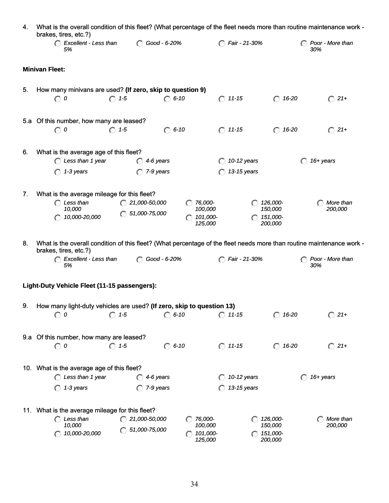| 4. | brakes, tires, etc.?)                                                                                      |                                                     |                                                     |                                            | What is the overall condition of this fleet? (What percentage of the fleet needs more than routine maintenance work -                            |
|----|------------------------------------------------------------------------------------------------------------|-----------------------------------------------------|-----------------------------------------------------|--------------------------------------------|--------------------------------------------------------------------------------------------------------------------------------------------------|
|    | C Excellent - Less than<br>5%                                                                              | Good - 6-20%                                        |                                                     | <b>C</b> Fair - 21-30%                     | Poor - More than<br>30%                                                                                                                          |
|    | <b>Minivan Fleet:</b>                                                                                      |                                                     |                                                     |                                            |                                                                                                                                                  |
| 5. | How many minivans are used? (If zero, skip to question 9)<br>$\bigcirc$ 0                                  | $\bigcirc$ 1-5<br>$\bigcirc$ 6-10                   |                                                     | $O$ 11-15<br>$\bigcap$ 16-20               | $\bigcirc$ 21+                                                                                                                                   |
|    | 5.a Of this number, how many are leased?<br>$\bigcirc$ 0                                                   | $\bigcap$ 1-5<br>$\bigcap$ 6-10                     |                                                     | $O$ 11-15<br>$\bigcirc$                    | 16-20<br>$\bigcirc$ 21+                                                                                                                          |
| 6. | What is the average age of this fleet?<br>C Less than 1 year<br>1-3 years<br>$\bigcap$                     | $\bigcap$ 4-6 years<br>$\bigcap$ 7-9 years          |                                                     | $\bigcirc$ 10-12 years<br>13-15 years      | 16+ years                                                                                                                                        |
| 7. | What is the average mileage for this fleet?<br>$\bigcap$ Less than<br>10,000<br>10,000-20,000<br>$\subset$ | $\bigcap$ 21,000-50,000<br>$\bigcirc$ 51,000-75,000 | $\bigcap$ 76,000-<br>100,000<br>101,000-<br>125,000 | 126,000-<br>150,000<br>151,000-<br>200,000 | More than<br>200,000                                                                                                                             |
| 8. | brakes, tires, etc.?)<br>Excellent - Less than<br>5%                                                       | Good - 6-20%<br>$\bigcirc$                          |                                                     | <b>C</b> Fair - 21-30%                     | What is the overall condition of this fleet? (What percentage of the fleet needs more than routine maintenance work -<br>Poor - More than<br>30% |
|    | Light-Duty Vehicle Fleet (11-15 passengers):                                                               |                                                     |                                                     |                                            |                                                                                                                                                  |
| 9. | How many light-duty vehicles are used? (If zero, skip to question 13)<br>$\boldsymbol{o}$<br>$\bigcirc$    | $\bigcirc$ 6-10<br>$\bigcirc$ 1-5                   |                                                     | $\bigcap$ 11-15<br>$\bigcap$ 16-20         | $\bigcirc$ 21+                                                                                                                                   |
|    | 9.a Of this number, how many are leased?<br>$\odot$ 0                                                      | $\bigcirc$ 6-10<br>$\bigcap$ 1-5                    |                                                     | $\bigcirc$ 11-15<br>$\bigcap$ 16-20        | $\bigcirc$ 21+                                                                                                                                   |
|    | 10. What is the average age of this fleet?<br>$\bigcap$ Less than 1 year<br>1-3 years                      | 4-6 years<br>7-9 years                              |                                                     | 10-12 years<br>13-15 years                 | 16+ years                                                                                                                                        |
|    | 11. What is the average mileage for this fleet?<br>$\bigcap$ Less than<br>10,000<br>10,000-20,000          | $\bigcap$ 21,000-50,000<br>$\bigcirc$ 51,000-75,000 | 76,000-<br>100,000<br>101,000-<br>125,000           | 126,000-<br>150,000<br>151,000-<br>200,000 | More than<br>200,000                                                                                                                             |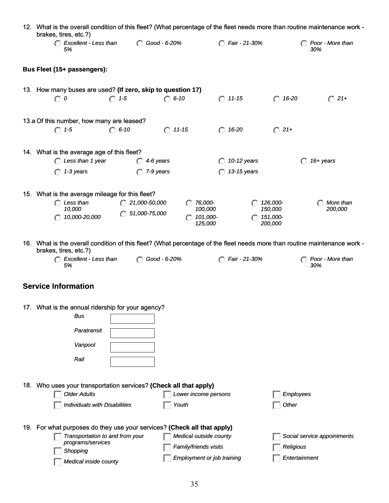|     | 12. What is the overall condition of this fleet? (What percentage of the fleet needs more than routine maintenance work -<br>brakes, tires, etc.?) |                          |                        |                                   |                               |                             |
|-----|----------------------------------------------------------------------------------------------------------------------------------------------------|--------------------------|------------------------|-----------------------------------|-------------------------------|-----------------------------|
|     | Excellent - Less than<br>5%                                                                                                                        | ◯ Good - 6-20%           |                        | <b>C</b> Fair - 21-30%            |                               | C Poor - More than<br>30%   |
|     | Bus Fleet (15+ passengers):                                                                                                                        |                          |                        |                                   |                               |                             |
|     | 13. How many buses are used? (If zero, skip to question 17)                                                                                        |                          |                        |                                   |                               |                             |
|     | $\bigcirc$ 0                                                                                                                                       | $\bigcirc$ 1-5           | $\bigcap$ 6-10         | $\bigcirc$ 11-15                  | $\bigcirc$ 16-20              | $\bigcirc$ 21+              |
|     | 13.a Of this number, how many are leased?                                                                                                          |                          |                        |                                   |                               |                             |
|     | $\bigcap$ 1-5                                                                                                                                      | $\bigcap$ 6-10           | $\bigcap$ 11-15        | $\bigcirc$ 16-20                  | $\bigcirc$ 21+                |                             |
|     | 14. What is the average age of this fleet?                                                                                                         |                          |                        |                                   |                               |                             |
|     | C Less than 1 year                                                                                                                                 | 4-6 years<br>$\bigcap$   |                        | 10-12 years                       |                               | 16+ years<br>∩              |
|     | 1-3 years<br>$\bigcap$                                                                                                                             | 7-9 years<br>$\bigcap$   |                        | 13-15 years                       |                               |                             |
|     | 15. What is the average mileage for this fleet?                                                                                                    |                          |                        |                                   |                               |                             |
|     | $\bigcap$ Less than<br>10,000                                                                                                                      | $\bigcap$ 21,000-50,000  | 76,000-<br>100,000     |                                   | 126,000-<br>150,000           | More than<br>200,000        |
|     | 10,000-20,000                                                                                                                                      | $\bigcirc$ 51,000-75,000 | 101,000-               | 125,000                           | $\bigcap$ 151,000-<br>200,000 |                             |
|     |                                                                                                                                                    |                          |                        |                                   |                               |                             |
|     | 16. What is the overall condition of this fleet? (What percentage of the fleet needs more than routine maintenance work -<br>brakes, tires, etc.?) |                          |                        |                                   |                               |                             |
|     | Excellent - Less than<br>5%                                                                                                                        | ◯ Good - 6-20%           |                        | <b>C</b> Fair - 21-30%            |                               | Poor - More than<br>30%     |
|     | <b>Service Information</b>                                                                                                                         |                          |                        |                                   |                               |                             |
|     |                                                                                                                                                    |                          |                        |                                   |                               |                             |
|     | 17. What is the annual ridership for your agency?                                                                                                  |                          |                        |                                   |                               |                             |
|     | <b>Bus</b>                                                                                                                                         |                          |                        |                                   |                               |                             |
|     | Paratransit                                                                                                                                        |                          |                        |                                   |                               |                             |
|     | Vanpool                                                                                                                                            |                          |                        |                                   |                               |                             |
|     | Rail                                                                                                                                               |                          |                        |                                   |                               |                             |
|     |                                                                                                                                                    |                          |                        |                                   |                               |                             |
|     | 18. Who uses your transportation services? (Check all that apply)                                                                                  |                          |                        |                                   |                               |                             |
|     | <b>Older Adults</b>                                                                                                                                |                          | Lower income persons   |                                   |                               | Employees                   |
|     | <b>Individuals with Disabilities</b>                                                                                                               |                          | Youth                  |                                   | Other                         |                             |
| 19. | For what purposes do they use your services? (Check all that apply)                                                                                |                          |                        |                                   |                               |                             |
|     | Transportation to and from your                                                                                                                    |                          | Medical outside county |                                   |                               | Social service appointments |
|     | programs/services<br>Shopping                                                                                                                      |                          | Family/friends visits  |                                   | Religious                     |                             |
|     | Medical inside county                                                                                                                              |                          |                        | <b>Employment or job training</b> |                               | Entertainment               |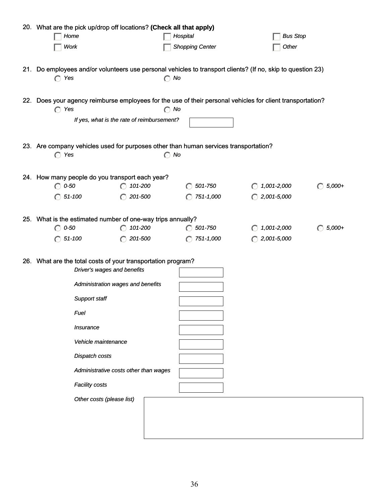| 20. What are the pick up/drop off locations? (Check all that apply) |                                            |                                                                                      |                                                                                                             |                        |
|---------------------------------------------------------------------|--------------------------------------------|--------------------------------------------------------------------------------------|-------------------------------------------------------------------------------------------------------------|------------------------|
| Home                                                                |                                            | Hospital                                                                             | <b>Bus Stop</b>                                                                                             |                        |
| Work                                                                |                                            | <b>Shopping Center</b>                                                               | Other                                                                                                       |                        |
|                                                                     |                                            |                                                                                      |                                                                                                             |                        |
|                                                                     |                                            |                                                                                      | 21. Do employees and/or volunteers use personal vehicles to transport clients? (If no, skip to question 23) |                        |
| Yes<br>$\left(\cdot\right)$                                         |                                            | $\bigcirc$ No                                                                        |                                                                                                             |                        |
|                                                                     |                                            |                                                                                      |                                                                                                             |                        |
|                                                                     |                                            |                                                                                      | 22. Does your agency reimburse employees for the use of their personal vehicles for client transportation?  |                        |
| $\bigcap$ Yes                                                       |                                            | $\bigcirc$ No                                                                        |                                                                                                             |                        |
|                                                                     | If yes, what is the rate of reimbursement? |                                                                                      |                                                                                                             |                        |
|                                                                     |                                            |                                                                                      |                                                                                                             |                        |
|                                                                     |                                            | 23. Are company vehicles used for purposes other than human services transportation? |                                                                                                             |                        |
| $\bigcap$ Yes                                                       |                                            | $\bigcirc$ No                                                                        |                                                                                                             |                        |
|                                                                     |                                            |                                                                                      |                                                                                                             |                        |
| 24. How many people do you transport each year?                     |                                            |                                                                                      |                                                                                                             |                        |
| $\bigcirc$ 0-50                                                     | $\bigcap$ 101-200                          | 501-750                                                                              | 1,001-2,000                                                                                                 | $5,000+$<br>$\odot$    |
| $\bigcap$ 51-100                                                    | $\bigcirc$ 201-500                         | 751-1,000<br>$\subset$                                                               | $\bigcap$ 2,001-5,000                                                                                       |                        |
|                                                                     |                                            |                                                                                      |                                                                                                             |                        |
| 25. What is the estimated number of one-way trips annually?         |                                            |                                                                                      |                                                                                                             |                        |
| $\bigcirc$ 0-50                                                     | 101-200                                    | $\bigcirc$ 501-750                                                                   | 1,001-2,000<br>$(\cdot)$                                                                                    | $5,000+$<br>$\bigcirc$ |
| $\bigcirc$ 51-100                                                   | $\bigcirc$ 201-500                         | 751-1,000<br>◯                                                                       | $\bigcirc$ 2,001-5,000                                                                                      |                        |
|                                                                     |                                            |                                                                                      |                                                                                                             |                        |
| 26. What are the total costs of your transportation program?        |                                            |                                                                                      |                                                                                                             |                        |
|                                                                     | Driver's wages and benefits                |                                                                                      |                                                                                                             |                        |
|                                                                     | Administration wages and benefits          |                                                                                      |                                                                                                             |                        |
|                                                                     |                                            |                                                                                      |                                                                                                             |                        |
| Support staff                                                       |                                            |                                                                                      |                                                                                                             |                        |
| Fuel                                                                |                                            |                                                                                      |                                                                                                             |                        |
| Insurance                                                           |                                            |                                                                                      |                                                                                                             |                        |
|                                                                     |                                            |                                                                                      |                                                                                                             |                        |
|                                                                     | Vehicle maintenance                        |                                                                                      |                                                                                                             |                        |
| Dispatch costs                                                      |                                            |                                                                                      |                                                                                                             |                        |
|                                                                     | Administrative costs other than wages      |                                                                                      |                                                                                                             |                        |
|                                                                     |                                            |                                                                                      |                                                                                                             |                        |
| <b>Facility costs</b>                                               |                                            |                                                                                      |                                                                                                             |                        |
|                                                                     | Other costs (please list)                  |                                                                                      |                                                                                                             |                        |
|                                                                     |                                            |                                                                                      |                                                                                                             |                        |
|                                                                     |                                            |                                                                                      |                                                                                                             |                        |
|                                                                     |                                            |                                                                                      |                                                                                                             |                        |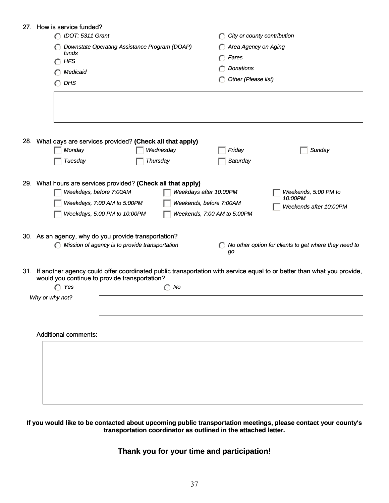|     | 27. How is service funded?                                                                                                                                              |                                                           |
|-----|-------------------------------------------------------------------------------------------------------------------------------------------------------------------------|-----------------------------------------------------------|
|     | C IDOT: 5311 Grant                                                                                                                                                      | City or county contribution                               |
|     | Downstate Operating Assistance Program (DOAP)                                                                                                                           | Area Agency on Aging                                      |
|     | funds<br><b>HFS</b><br>$(\cdot)$                                                                                                                                        | Fares                                                     |
|     | Medicaid                                                                                                                                                                | Donations                                                 |
|     |                                                                                                                                                                         | Other (Please list)                                       |
|     | <b>DHS</b>                                                                                                                                                              |                                                           |
|     |                                                                                                                                                                         |                                                           |
|     |                                                                                                                                                                         |                                                           |
|     |                                                                                                                                                                         |                                                           |
|     |                                                                                                                                                                         |                                                           |
|     | 28. What days are services provided? (Check all that apply)                                                                                                             |                                                           |
|     | Wednesday<br>Monday                                                                                                                                                     | Sunday<br>Friday                                          |
|     | Tuesday<br>Thursday                                                                                                                                                     | Saturday                                                  |
|     |                                                                                                                                                                         |                                                           |
|     | 29. What hours are services provided? (Check all that apply)                                                                                                            |                                                           |
|     | Weekdays, before 7:00AM                                                                                                                                                 | Weekdays after 10:00PM<br>Weekends, 5:00 PM to<br>10:00PM |
|     | Weekdays, 7:00 AM to 5:00PM                                                                                                                                             | Weekends, before 7:00AM<br>Weekends after 10:00PM         |
|     | Weekdays, 5:00 PM to 10:00PM                                                                                                                                            | Weekends, 7:00 AM to 5:00PM                               |
|     |                                                                                                                                                                         |                                                           |
|     | 30. As an agency, why do you provide transportation?                                                                                                                    |                                                           |
|     | $\bigcirc$ Mission of agency is to provide transportation                                                                                                               | No other option for clients to get where they need to     |
|     |                                                                                                                                                                         | gо                                                        |
|     |                                                                                                                                                                         |                                                           |
| 31. | If another agency could offer coordinated public transportation with service equal to or better than what you provide,<br>would you continue to provide transportation? |                                                           |
|     | $\bigcap$ Yes<br>No<br>$(\cdot)$                                                                                                                                        |                                                           |
|     | Why or why not?                                                                                                                                                         |                                                           |
|     |                                                                                                                                                                         |                                                           |
|     |                                                                                                                                                                         |                                                           |
|     |                                                                                                                                                                         |                                                           |
|     | <b>Additional comments:</b>                                                                                                                                             |                                                           |
|     |                                                                                                                                                                         |                                                           |
|     |                                                                                                                                                                         |                                                           |
|     |                                                                                                                                                                         |                                                           |
|     |                                                                                                                                                                         |                                                           |
|     |                                                                                                                                                                         |                                                           |
|     |                                                                                                                                                                         |                                                           |
|     |                                                                                                                                                                         |                                                           |

#### **If you would like to be contacted about upcoming public transportation meetings, please contact your county's transportation coordinator as outlined in the attached letter.**

# **Thank you for your time and participation!**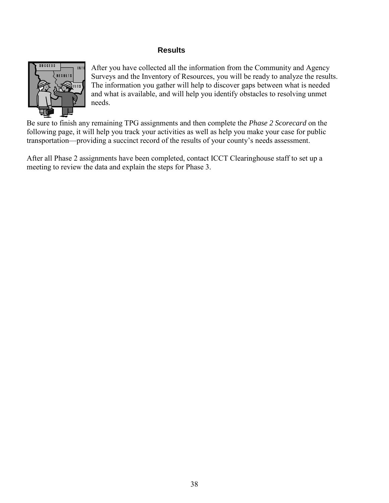#### **Results**

<span id="page-41-0"></span>

After you have collected all the information from the Community and Agency Surveys and the Inventory of Resources, you will be ready to analyze the results. The information you gather will help to discover gaps between what is needed and what is available, and will help you identify obstacles to resolving unmet needs.

Be sure to finish any remaining TPG assignments and then complete the *Phase 2 Scorecard* on the following page, it will help you track your activities as well as help you make your case for public transportation—providing a succinct record of the results of your county's needs assessment.

After all Phase 2 assignments have been completed, contact ICCT Clearinghouse staff to set up a meeting to review the data and explain the steps for Phase 3.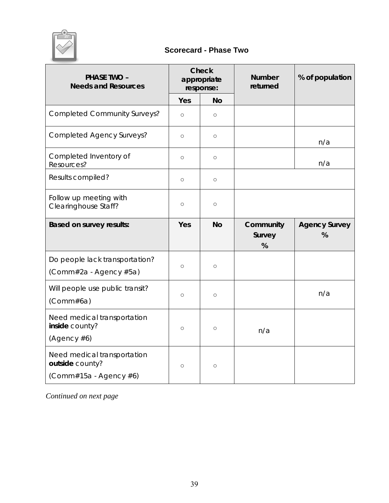<span id="page-42-0"></span>

# **Scorecard - Phase Two**

| <b>PHASE TWO -</b><br><b>Needs and Resources</b>                         | <b>Check</b><br>appropriate<br>response: |           | <b>Number</b><br>returned | % of population           |
|--------------------------------------------------------------------------|------------------------------------------|-----------|---------------------------|---------------------------|
|                                                                          | Yes                                      | <b>No</b> |                           |                           |
| <b>Completed Community Surveys?</b>                                      | $\circ$                                  | $\circ$   |                           |                           |
| <b>Completed Agency Surveys?</b>                                         | $\circ$                                  | $\circ$   |                           | n/a                       |
| Completed Inventory of<br>Resources?                                     | $\circ$                                  | $\circ$   |                           | n/a                       |
| Results compiled?                                                        | $\circ$                                  | $\circ$   |                           |                           |
| Follow up meeting with<br>Clearinghouse Staff?                           | $\circ$                                  | $\circ$   |                           |                           |
| <b>Based on survey results:</b>                                          | Yes                                      | <b>No</b> | Community<br>Survey<br>%  | <b>Agency Survey</b><br>% |
| Do people lack transportation?<br>(Comm#2a - Agency #5a)                 | $\circ$                                  | $\circ$   |                           |                           |
| Will people use public transit?<br>(Comm#6a)                             | $\circ$                                  | $\circ$   |                           | n/a                       |
| Need medical transportation<br>inside county?<br>(Agency #6)             | $\circ$                                  | $\circ$   | n/a                       |                           |
| Need medical transportation<br>outside county?<br>(Comm#15a - Agency #6) | $\circ$                                  | $\circ$   |                           |                           |

*Continued on next page*